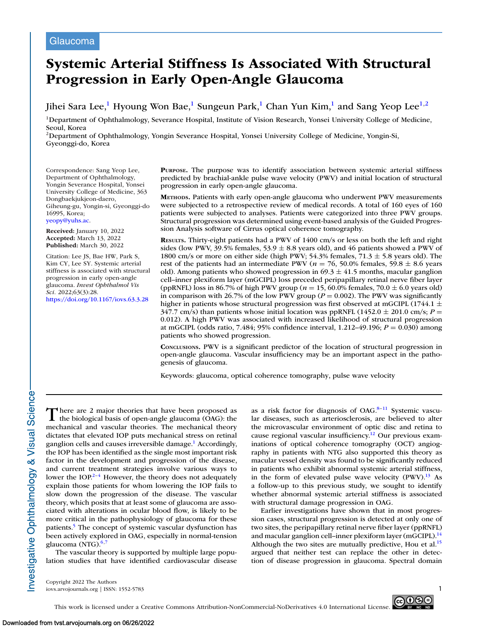# Glaucoma

# **Systemic Arterial Stiffness Is Associated With Structural Progression in Early Open-Angle Glaucoma**

Jihei Sara Lee,<sup>1</sup> Hyoung Won Bae,<sup>1</sup> Sungeun Park,<sup>1</sup> Chan Yun Kim,<sup>1</sup> and Sang Yeop Lee<sup>1,2</sup>

1Department of Ophthalmology, Severance Hospital, Institute of Vision Research, Yonsei University College of Medicine, Seoul, Korea

2Department of Ophthalmology, Yongin Severance Hospital, Yonsei University College of Medicine, Yongin-Si, Gyeonggi-do, Korea

Correspondence: Sang Yeop Lee, Department of Ophthalmology, Yongin Severance Hospital, Yonsei University College of Medicine, 363 Dongbaekjukjeon-daero, Giheung-gu, Yongin-si, Gyeonggi-do 16995, Korea; [yeopy@yuhs.ac.](mailto:yeopy@yuhs.ac)

**Received:** January 10, 2022 **Accepted:** March 13, 2022 **Published:** March 30, 2022

Citation: Lee JS, Bae HW, Park S, Kim CY, Lee SY. Systemic arterial stiffness is associated with structural progression in early open-angle glaucoma. *Invest Ophthalmol Vis Sci.* 2022;63(3):28. <https://doi.org/10.1167/iovs.63.3.28>

**PURPOSE.** The purpose was to identify association between systemic arterial stiffness predicted by brachial-ankle pulse wave velocity (PWV) and initial location of structural progression in early open-angle glaucoma.

**METHODS.** Patients with early open-angle glaucoma who underwent PWV measurements were subjected to a retrospective review of medical records. A total of 160 eyes of 160 patients were subjected to analyses. Patients were categorized into three PWV groups. Structural progression was determined using event-based analysis of the Guided Progression Analysis software of Cirrus optical coherence tomography.

**RESULTS.** Thirty-eight patients had a PWV of 1400 cm/s or less on both the left and right sides (low PWV, 39.5% females, 53.9  $\pm$  8.8 years old), and 46 patients showed a PWV of 1800 cm/s or more on either side (high PWV; 54.3% females,  $71.3 \pm 5.8$  years old). The rest of the patients had an intermediate PWV ( $n = 76, 50.0\%$  females, 59.8  $\pm$  8.6 years old). Among patients who showed progression in  $69.3 \pm 41.5$  months, macular ganglion cell–inner plexiform layer (mGCIPL) loss preceded peripapillary retinal nerve fiber layer (ppRNFL) loss in 86.7% of high PWV group ( $n = 15,60.0\%$  females, 70.0  $\pm$  6.0 years old) in comparison with 26.7% of the low PWV group ( $P = 0.002$ ). The PWV was significantly higher in patients whose structural progression was first observed at mGCIPL (1744.1  $\pm$ 347.7 cm/s) than patients whose initial location was ppRNFL ( $1452.0 \pm 201.0$  cm/s;  $P =$ 0.012). A high PWV was associated with increased likelihood of structural progression at mGCIPL (odds ratio, 7.484; 95% confidence interval, 1.212–49.196; *P* = 0.030) among patients who showed progression.

**CONCLUSIONS.** PWV is a significant predictor of the location of structural progression in open-angle glaucoma. Vascular insufficiency may be an important aspect in the pathogenesis of glaucoma.

Keywords: glaucoma, optical coherence tomography, pulse wave velocity

There are 2 major theories that have been proposed as<br>the biological basis of open-angle glaucoma (OAG): the mechanical and vascular theories. The mechanical theory dictates that elevated IOP puts mechanical stress on retinal ganglion cells and causes irreversible damage.<sup>1</sup> Accordingly, the IOP has been identified as the single most important risk factor in the development and progression of the disease, and current treatment strategies involve various ways to lower the IOP.<sup>2–4</sup> However, the theory does not adequately explain those patients for whom lowering the IOP fails to slow down the progression of the disease. The vascular theory, which posits that at least some of glaucoma are associated with alterations in ocular blood flow, is likely to be more critical in the pathophysiology of glaucoma for these patients.<sup>5</sup> The concept of systemic vascular dysfunction has been actively explored in OAG, especially in normal-tension glaucoma (NTG).<sup>6,7</sup>

The vascular theory is supported by multiple large population studies that have identified cardiovascular disease as a risk factor for diagnosis of  $OAG$ .<sup>8-11</sup> Systemic vascular diseases, such as arteriosclerosis, are believed to alter the microvascular environment of optic disc and retina to cause regional vascular insufficiency.<sup>12</sup> Our previous examinations of optical coherence tomography (OCT) angiography in patients with NTG also supported this theory as macular vessel density was found to be significantly reduced in patients who exhibit abnormal systemic arterial stiffness, in the form of elevated pulse wave velocity  $(PWV)$ .<sup>13</sup> As a follow-up to this previous study, we sought to identify whether abnormal systemic arterial stiffness is associated with structural damage progression in OAG.

Earlier investigations have shown that in most progression cases, structural progression is detected at only one of two sites, the peripapillary retinal nerve fiber layer (ppRNFL) and macular ganglion cell–inner plexiform layer (mGCIPL).<sup>14</sup> Although the two sites are mutually predictive, Hou et al.<sup>15</sup> argued that neither test can replace the other in detection of disease progression in glaucoma. Spectral domain

Copyright 2022 The Authors  $\frac{1}{\infty}$ iovs.arvojournals.org | ISSN: 1552-5783



Investigative Ophthalmology & Visual Science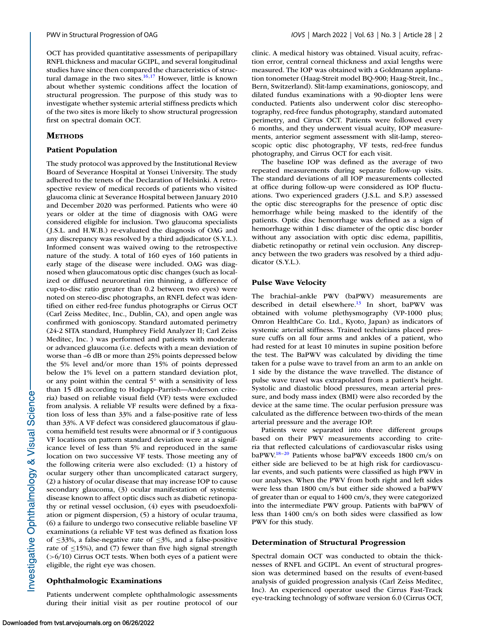OCT has provided quantitative assessments of peripapillary RNFL thickness and macular GCIPL, and several longitudinal studies have since then compared the characteristics of structural damage in the two sites. $16,17$  However, little is known about whether systemic conditions affect the location of structural progression. The purpose of this study was to investigate whether systemic arterial stiffness predicts which of the two sites is more likely to show structural progression first on spectral domain OCT.

### **METHODS**

### **Patient Population**

The study protocol was approved by the Institutional Review Board of Severance Hospital at Yonsei University. The study adhered to the tenets of the Declaration of Helsinki. A retrospective review of medical records of patients who visited glaucoma clinic at Severance Hospital between January 2010 and December 2020 was performed. Patients who were 40 years or older at the time of diagnosis with OAG were considered eligible for inclusion. Two glaucoma specialists ( J.S.L. and H.W.B.) re-evaluated the diagnosis of OAG and any discrepancy was resolved by a third adjudicator (S.Y.L.). Informed consent was waived owing to the retrospective nature of the study. A total of 160 eyes of 160 patients in early stage of the disease were included. OAG was diagnosed when glaucomatous optic disc changes (such as localized or diffused neuroretinal rim thinning, a difference of cup-to-disc ratio greater than 0.2 between two eyes) were noted on stereo-disc photographs, an RNFL defect was identified on either red-free fundus photographs or Cirrus OCT (Carl Zeiss Meditec, Inc., Dublin, CA), and open angle was confirmed with gonioscopy. Standard automated perimetry (24-2 SITA standard, Humphrey Field Analyzer II; Carl Zeiss Meditec, Inc. ) was performed and patients with moderate or advanced glaucoma (i.e. defects with a mean deviation of worse than –6 dB or more than 25% points depressed below the 5% level and/or more than 15% of points depressed below the 1% level on a pattern standard deviation plot, or any point within the central 5° with a sensitivity of less than 15 dB according to Hodapp–Parrish—Anderson criteria) based on reliable visual field (VF) tests were excluded from analysis. A reliable VF results were defined by a fixation loss of less than 33% and a false-positive rate of less than 33%. A VF defect was considered glaucomatous if glaucoma hemifield test results were abnormal or if 3 contiguous VF locations on pattern standard deviation were at a significance level of less than 5% and reproduced in the same location on two successive VF tests. Those meeting any of the following criteria were also excluded: (1) a history of ocular surgery other than uncomplicated cataract surgery, (2) a history of ocular disease that may increase IOP to cause secondary glaucoma, (3) ocular manifestation of systemic disease known to affect optic discs such as diabetic retinopathy or retinal vessel occlusion, (4) eyes with pseudoexfoliation or pigment dispersion, (5) a history of ocular trauma, (6) a failure to undergo two consecutive reliable baseline VF examinations (a reliable VF test was defined as fixation loss of ≤33%, a false-negative rate of ≤3%, and a false-positive rate of  $\leq$ 15%), and (7) fewer than five high signal strength  $(>6/10)$  Cirrus OCT tests. When both eyes of a patient were eligible, the right eye was chosen.

# **Ophthalmologic Examinations**

Patients underwent complete ophthalmologic assessments during their initial visit as per routine protocol of our clinic. A medical history was obtained. Visual acuity, refraction error, central corneal thickness and axial lengths were measured. The IOP was obtained with a Goldmann applanation tonometer (Haag-Streit model BQ-900; Haag-Streit, Inc., Bern, Switzerland). Slit-lamp examinations, gonioscopy, and dilated fundus examinations with a 90-diopter lens were conducted. Patients also underwent color disc stereophotography, red-free fundus photography, standard automated perimetry, and Cirrus OCT. Patients were followed every 6 months, and they underwent visual acuity, IOP measurements, anterior segment assessment with slit-lamp, stereoscopic optic disc photography, VF tests, red-free fundus photography, and Cirrus OCT for each visit.

The baseline IOP was defined as the average of two repeated measurements during separate follow-up visits. The standard deviations of all IOP measurements collected at office during follow-up were considered as IOP fluctuations. Two experienced graders (J.S.L. and S.P.) assessed the optic disc stereographs for the presence of optic disc hemorrhage while being masked to the identify of the patients. Optic disc hemorrhage was defined as a sign of hemorrhage within 1 disc diameter of the optic disc border without any association with optic disc edema, papillitis, diabetic retinopathy or retinal vein occlusion. Any discrepancy between the two graders was resolved by a third adjudicator (S.Y.L.).

### **Pulse Wave Velocity**

The brachial–ankle PWV (baPWV) measurements are described in detail elsewhere.<sup>13</sup> In short, baPWV was obtained with volume plethysmography (VP-1000 plus; Omron HealthCare Co. Ltd., Kyoto, Japan) as indicators of systemic arterial stiffness. Trained technicians placed pressure cuffs on all four arms and ankles of a patient, who had rested for at least 10 minutes in supine position before the test. The BaPWV was calculated by dividing the time taken for a pulse wave to travel from an arm to an ankle on 1 side by the distance the wave travelled. The distance of pulse wave travel was extrapolated from a patient's height. Systolic and diastolic blood pressures, mean arterial pressure, and body mass index (BMI) were also recorded by the device at the same time. The ocular perfusion pressure was calculated as the difference between two-thirds of the mean arterial pressure and the average IOP.

Patients were separated into three different groups based on their PWV measurements according to criteria that reflected calculations of cardiovascular risks using baPW[V.18–20](#page-8-0) Patients whose baPWV exceeds 1800 cm/s on either side are believed to be at high risk for cardiovascular events, and such patients were classified as high PWV in our analyses. When the PWV from both right and left sides were less than 1800 cm/s but either side showed a baPWV of greater than or equal to 1400 cm/s, they were categorized into the intermediate PWV group. Patients with baPWV of less than 1400 cm/s on both sides were classified as low PWV for this study.

#### **Determination of Structural Progression**

Spectral domain OCT was conducted to obtain the thicknesses of RNFL and GCIPL. An event of structural progression was determined based on the results of event-based analysis of guided progression analysis (Carl Zeiss Meditec, Inc). An experienced operator used the Cirrus Fast-Track eye-tracking technology of software version 6.0 (Cirrus OCT,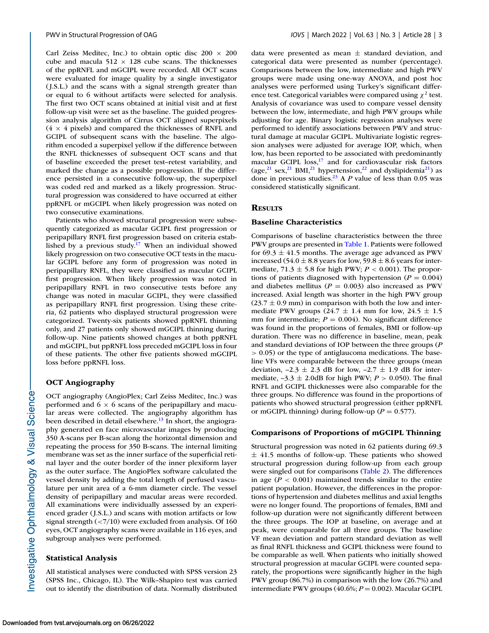Carl Zeiss Meditec, Inc.) to obtain optic disc  $200 \times 200$ cube and macula 512  $\times$  128 cube scans. The thicknesses of the ppRNFL and mGCIPL were recorded. All OCT scans were evaluated for image quality by a single investigator (J.S.L.) and the scans with a signal strength greater than or equal to 6 without artifacts were selected for analysis. The first two OCT scans obtained at initial visit and at first follow-up visit were set as the baseline. The guided progression analysis algorithm of Cirrus OCT aligned superpixels  $(4 \times 4$  pixels) and compared the thicknesses of RNFL and GCIPL of subsequent scans with the baseline. The algorithm encoded a superpixel yellow if the difference between the RNFL thicknesses of subsequent OCT scans and that of baseline exceeded the preset test–retest variability, and marked the change as a possible progression. If the difference persisted in a consecutive follow-up, the superpixel was coded red and marked as a likely progression. Structural progression was considered to have occurred at either ppRNFL or mGCIPL when likely progression was noted on two consecutive examinations.

Patients who showed structural progression were subsequently categorized as macular GCIPL first progression or peripapillary RNFL first progression based on criteria established by a previous study.<sup>17</sup> When an individual showed likely progression on two consecutive OCT tests in the macular GCIPL before any form of progression was noted in peripapillary RNFL, they were classified as macular GCIPL first progression. When likely progression was noted in peripapillary RNFL in two consecutive tests before any change was noted in macular GCIPL, they were classified as peripapillary RNFL first progression. Using these criteria, 62 patients who displayed structural progression were categorized. Twenty-six patients showed ppRNFL thinning only, and 27 patients only showed mGCIPL thinning during follow-up. Nine patients showed changes at both ppRNFL and mGCIPL, but ppRNFL loss preceded mGCIPL loss in four of these patients. The other five patients showed mGCIPL loss before ppRNFL loss.

### **OCT Angiography**

OCT angiography (AngioPlex; Carl Zeiss Meditec, Inc.) was performed and  $6 \times 6$  scans of the peripapillary and macular areas were collected. The angiography algorithm has been described in detail elsewhere.<sup>13</sup> In short, the angiography generated en face microvascular images by producing 350 A-scans per B-scan along the horizontal dimension and repeating the process for 350 B-scans. The internal limiting membrane was set as the inner surface of the superficial retinal layer and the outer border of the inner plexiform layer as the outer surface. The AngioPlex software calculated the vessel density by adding the total length of perfused vasculature per unit area of a 6-mm diameter circle. The vessel density of peripapillary and macular areas were recorded. All examinations were individually assessed by an experienced grader (J.S.L.) and scans with motion artifacts or low signal strength (<7/10) were excluded from analysis. Of 160 eyes, OCT angiography scans were available in 116 eyes, and subgroup analyses were performed.

#### **Statistical Analysis**

All statistical analyses were conducted with SPSS version 23 (SPSS Inc., Chicago, IL). The Wilk–Shapiro test was carried out to identify the distribution of data. Normally distributed data were presented as mean  $\pm$  standard deviation, and categorical data were presented as number (percentage). Comparisons between the low, intermediate and high PWV groups were made using one-way ANOVA, and post hoc analyses were performed using Turkey's significant difference test. Categorical variables were compared using  $\chi^2$  test. Analysis of covariance was used to compare vessel density between the low, intermediate, and high PWV groups while adjusting for age. Binary logistic regression analyses were performed to identify associations between PWV and structural damage at macular GCIPL. Multivariate logistic regression analyses were adjusted for average IOP, which, when low, has been reported to be associated with predominantly macular GCIPL loss, $17$  and for cardiovascular risk factors (age,<sup>21</sup> sex,<sup>21</sup> BMI,<sup>21</sup> hypertension,<sup>22</sup> and dyslipidemia<sup>21</sup>) as done in previous studies.<sup>23</sup> A *P* value of less than 0.05 was considered statistically significant.

### **RESULTS**

#### **Baseline Characteristics**

Comparisons of baseline characteristics between the three PWV groups are presented in [Table 1.](#page-3-0) Patients were followed for  $69.3 \pm 41.5$  months. The average age advanced as PWV increased (54.0  $\pm$  8.8 years for low, 59.8  $\pm$  8.6 years for intermediate,  $71.3 \pm 5.8$  for high PWV;  $P < 0.001$ ). The proportions of patients diagnosed with hypertension ( $P = 0.004$ ) and diabetes mellitus ( $P = 0.003$ ) also increased as PWV increased. Axial length was shorter in the high PWV group  $(23.7 \pm 0.9 \text{ mm})$  in comparison with both the low and intermediate PWV groups (24.7  $\pm$  1.4 mm for low, 24.5  $\pm$  1.5 mm for intermediate;  $P = 0.004$ ). No significant difference was found in the proportions of females, BMI or follow-up duration. There was no difference in baseline, mean, peak and standard deviations of IOP between the three groups (*P* > 0.05) or the type of antiglaucoma medications. The baseline VFs were comparable between the three groups (mean deviation,  $-2.3 \pm 2.3$  dB for low,  $-2.7 \pm 1.9$  dB for intermediate,  $-3.3 \pm 2.0$ dB for high PWV;  $P > 0.050$ ). The final RNFL and GCIPL thicknesses were also comparable for the three groups. No difference was found in the proportions of patients who showed structural progression (either ppRNFL or mGCIPL thinning) during follow-up ( $P = 0.577$ ).

#### **Comparisons of Proportions of mGCIPL Thinning**

Structural progression was noted in 62 patients during 69.3  $\pm$  41.5 months of follow-up. These patients who showed structural progression during follow-up from each group were singled out for comparisons [\(Table 2\)](#page-4-0). The differences in age  $(P < 0.001)$  maintained trends similar to the entire patient population. However, the differences in the proportions of hypertension and diabetes mellitus and axial lengths were no longer found. The proportions of females, BMI and follow-up duration were not significantly different between the three groups. The IOP at baseline, on average and at peak, were comparable for all three groups. The baseline VF mean deviation and pattern standard deviation as well as final RNFL thickness and GCIPL thickness were found to be comparable as well. When patients who initially showed structural progression at macular GCIPL were counted separately, the proportions were significantly higher in the high PWV group (86.7%) in comparison with the low (26.7%) and intermediate PWV groups (40.6%; *P* = 0.002). Macular GCIPL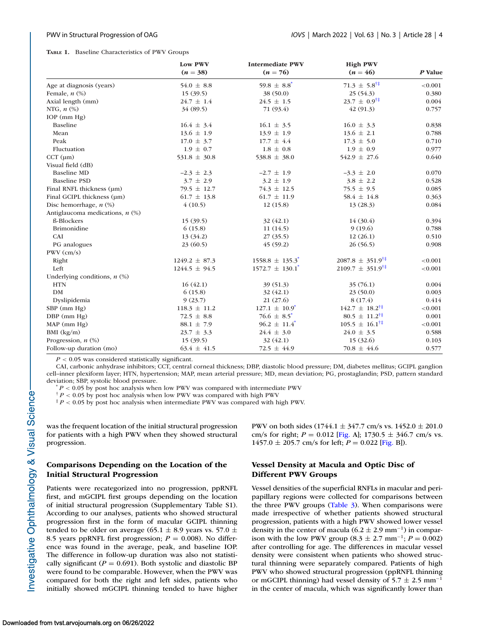#### <span id="page-3-0"></span>**TABLE 1.** Baseline Characteristics of PWV Groups

|                                   | Low PWV<br>$(n = 38)$ | <b>Intermediate PWV</b><br>$(n = 76)$ | <b>High PWV</b><br>$(n = 46)$        | P Value |  |
|-----------------------------------|-----------------------|---------------------------------------|--------------------------------------|---------|--|
| Age at diagnosis (years)          | 54.0 $\pm$ 8.8        | $59.8 \pm 8.8^*$                      | $71.3 \pm 5.8^{\dagger\ddagger}$     | < 0.001 |  |
| Female, $n$ $(\%)$                | 15(39.5)              | 38 (50.0)                             | 25(54.3)                             | 0.380   |  |
| Axial length (mm)                 | $24.7 \pm 1.4$        | $24.5 \pm 1.5$                        | $23.7 \pm 0.9^{\dagger\ddagger}$     | 0.004   |  |
| NTG, $n$ $(\%)$                   | 34 (89.5)             | 71 (93.4)                             | 42(91.3)                             | 0.757   |  |
| $IOP$ (mm $Hg$ )                  |                       |                                       |                                      |         |  |
| Baseline                          | $16.4 \pm 3.4$        | $16.1 \pm 3.5$                        | $16.0 \pm 3.3$                       | 0.838   |  |
| Mean                              | $13.6 \pm 1.9$        | $13.9 \pm 1.9$                        | $13.6 \pm 2.1$                       | 0.788   |  |
| Peak                              | $17.0 \pm 3.7$        | $17.7 \pm 4.4$                        | $17.3 \pm 5.0$                       | 0.710   |  |
| Fluctuation                       | $1.9 \pm 0.7$         | $1.8 \pm 0.8$                         | $1.9 \pm 0.9$                        | 0.977   |  |
| $CCT$ ( $µm$ )                    | $531.8 \pm 30.8$      | 538.8 $\pm$ 38.0                      | $542.9 \pm 27.6$                     | 0.640   |  |
| Visual field (dB)                 |                       |                                       |                                      |         |  |
| <b>Baseline MD</b>                | $-2.3 \pm 2.3$        | $-2.7 \pm 1.9$                        | $-3.3 \pm 2.0$                       | 0.070   |  |
| <b>Baseline PSD</b>               | $3.7 \pm 2.9$         | $3.2 \pm 1.9$                         | $3.8 \pm 2.2$                        | 0.528   |  |
| Final RNFL thickness (µm)         | $79.5 \pm 12.7$       | $74.3 \pm 12.5$                       | $75.5 \pm 9.5$                       | 0.085   |  |
| Final GCIPL thickness (µm)        | $61.7 \pm 13.8$       | $61.7 \pm 11.9$                       | 58.4 $\pm$ 14.8                      | 0.363   |  |
| Disc hemorrhage, $n$ $(\%)$       | 4(10.5)               | 12(15.8)                              | 13(28.3)                             | 0.084   |  |
| Antiglaucoma medications, $n$ (%) |                       |                                       |                                      |         |  |
| ß-Blockers                        | 15(39.5)              | 32 (42.1)                             | 14 (30.4)                            | 0.394   |  |
| <b>Brimonidine</b>                | 6(15.8)               | 11(14.5)                              | 9(19.6)                              | 0.788   |  |
| CAI                               | 13(34.2)              | 27(35.5)                              | 12(26.1)                             | 0.510   |  |
| PG analogues                      | 23(60.5)              | 45(59.2)                              | 26(56.5)                             | 0.908   |  |
| $PWV$ (cm/s)                      |                       |                                       |                                      |         |  |
| Right                             | $1249.2 \pm 87.3$     | $1558.8 \pm 135.3$ <sup>*</sup>       | $2087.8 \pm 351.9^{\dagger\ddagger}$ | < 0.001 |  |
| Left                              | $1244.5 \pm 94.5$     | $1572.7 \pm 130.1$ <sup>*</sup>       | $2109.7 \pm 351.9^{\dagger\ddagger}$ | < 0.001 |  |
| Underlying conditions, $n$ $(\%)$ |                       |                                       |                                      |         |  |
| <b>HTN</b>                        | 16(42.1)              | 39 (51.3)                             | 35(76.1)                             | 0.004   |  |
| <b>DM</b>                         | 6(15.8)               | 32(42.1)                              | 23(50.0)                             | 0.003   |  |
| Dyslipidemia                      | 9(23.7)               | 21(27.6)                              | 8(17.4)                              | 0.414   |  |
| SBP (mm Hg)                       | $118.3 \pm 11.2$      | $127.1 \pm 10.9^*$                    | $142.7 \pm 18.2^{\dagger\ddagger}$   | < 0.001 |  |
| DBP (mm Hg)                       | 72.5 $\pm$ 8.8        | 76.6 $\pm$ 8.5 <sup>*</sup>           | $80.5 \pm 11.2^{\dagger\ddagger}$    | 0.001   |  |
| MAP (mm Hg)                       | $88.1 \pm 7.9$        | $96.2 \pm 11.4$ <sup>*</sup>          | $105.5 \pm 16.1^{\dagger\ddagger}$   | < 0.001 |  |
| BMI (kg/m)                        | $23.7 \pm 3.3$        | $24.4 \pm 3.0$                        | $24.0 \pm 3.5$                       | 0.588   |  |
| Progression, $n$ $(\%)$           | 15(39.5)              | 32(42.1)                              | 15(32.6)                             | 0.103   |  |
| Follow-up duration (mo)           | $63.4 \pm 41.5$       | 72.5 $\pm$ 44.9                       | $70.8 \pm 44.6$                      | 0.577   |  |

*P* < 0.05 was considered statistically significant.

CAI, carbonic anhydrase inhibitors; CCT, central corneal thickness; DBP, diastolic blood pressure; DM, diabetes mellitus; GCIPL ganglion cell–inner plexiform layer; HTN, hypertension; MAP, mean arterial pressure; MD, mean deviation; PG, prostaglandin; PSD, pattern standard deviation; SBP, systolic blood pressure.<br>
<sup>\*</sup> *P* < 0.05 by post hoc analysis when low PWV was compared with intermediate PWV

† *P* < 0.05 by post hoc analysis when low PWV was compared with high PWV

‡ *P* < 0.05 by post hoc analysis when intermediate PWV was compared with high PWV.

was the frequent location of the initial structural progression for patients with a high PWV when they showed structural progression.

# **Comparisons Depending on the Location of the Initial Structural Progression**

Patients were recategorized into no progression, ppRNFL first, and mGCIPL first groups depending on the location of initial structural progression (Supplementary Table S1). According to our analyses, patients who showed structural progression first in the form of macular GCIPL thinning tended to be older on average (65.1  $\pm$  8.9 years vs. 57.0  $\pm$ 8.5 years ppRNFL first progression;  $P = 0.008$ ). No difference was found in the average, peak, and baseline IOP. The difference in follow-up duration was also not statistically significant ( $P = 0.691$ ). Both systolic and diastolic BP were found to be comparable. However, when the PWV was compared for both the right and left sides, patients who initially showed mGCIPL thinning tended to have higher

PWV on both sides  $(1744.1 \pm 347.7 \text{ cm/s vs. } 1452.0 \pm 201.0 \text{ s}$ cm/s for right;  $P = 0.012$  [\[Fig.](#page-5-0) A]; 1730.5  $\pm$  346.7 cm/s vs.  $1457.0 \pm 205.7$  cm/s for left;  $P = 0.022$  [\[Fig.](#page-5-0) B]).

# **Vessel Density at Macula and Optic Disc of Different PWV Groups**

Vessel densities of the superficial RNFLs in macular and peripapillary regions were collected for comparisons between the three PWV groups [\(Table 3\)](#page-5-0). When comparisons were made irrespective of whether patients showed structural progression, patients with a high PWV showed lower vessel density in the center of macula (6.2  $\pm$  2.9 mm<sup>-1</sup>) in comparison with the low PWV group  $(8.3 \pm 2.7 \text{ mm}^{-1}; P = 0.002)$ after controlling for age. The differences in macular vessel density were consistent when patients who showed structural thinning were separately compared. Patients of high PWV who showed structural progression (ppRNFL thinning or mGCIPL thinning) had vessel density of  $5.7 \pm 2.5$  mm<sup>-1</sup> in the center of macula, which was significantly lower than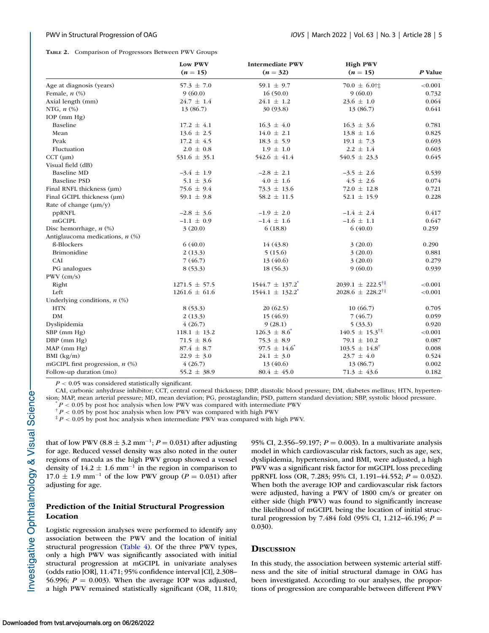<span id="page-4-0"></span>**TABLE 2.** Comparison of Progressors Between PWV Groups

|                                   | Low PWV<br>$(n = 15)$ | <b>Intermediate PWV</b><br>$(n = 32)$ | <b>High PWV</b><br>$(n = 15)$        | P Value<br>< 0.001 |  |
|-----------------------------------|-----------------------|---------------------------------------|--------------------------------------|--------------------|--|
| Age at diagnosis (years)          | $57.3 \pm 7.0$        | 59.1 $\pm$ 9.7                        | $70.0 \pm 6.0$ †‡                    |                    |  |
| Female, $n$ $(\%)$                | 9(60.0)               | 16(50.0)                              | 9(60.0)                              | 0.732              |  |
| Axial length (mm)                 | $24.7 \pm 1.4$        | $24.1 \pm 1.2$                        | $23.6 \pm 1.0$                       | 0.064              |  |
| NTG, $n$ $(\%)$                   | 13 (86.7)             | 30 (93.8)                             | 13 (86.7)                            | 0.641              |  |
| $IOP$ (mm $Hg$ )                  |                       |                                       |                                      |                    |  |
| <b>Baseline</b>                   | $17.2 \pm 4.1$        | $16.3 \pm 4.0$                        | $16.3 \pm 3.6$                       | 0.781              |  |
| Mean                              | $13.6 \pm 2.5$        | $14.0 \pm 2.1$                        | $13.8 \pm 1.6$                       | 0.825              |  |
| Peak                              | $17.2 \pm 4.5$        | $18.3 \pm 5.9$                        | $19.1 \pm 7.3$                       | 0.693              |  |
| Fluctuation                       | $2.0 \pm 0.8$         | $1.9 \pm 1.0$                         | $2.2 \pm 1.4$                        | 0.603              |  |
| $CCT$ ( $\mu$ m)                  | $531.6 \pm 35.1$      | $542.6 \pm 41.4$                      | $540.5 \pm 23.3$                     | 0.645              |  |
| Visual field (dB)                 |                       |                                       |                                      |                    |  |
| <b>Baseline MD</b>                | $-3.4 \pm 1.9$        | $-2.8 \pm 2.1$                        | $-3.5 \pm 2.6$                       | 0.539              |  |
| <b>Baseline PSD</b>               | $5.1 \pm 3.6$         | $4.0 \pm 1.6$                         | $4.5 \pm 2.6$                        | 0.074              |  |
| Final RNFL thickness (µm)         | 75.6 $\pm$ 9.4        | $73.3 \pm 13.6$                       | $72.0 \pm 12.8$                      | 0.721              |  |
| Final GCIPL thickness (um)        | 59.1 $\pm$ 9.8        | $58.2 \pm 11.5$                       | $52.1 \pm 15.9$                      | 0.228              |  |
| Rate of change $(\mu m/\nu)$      |                       |                                       |                                      |                    |  |
| ppRNFL                            | $-2.8 \pm 3.6$        | $-1.9 \pm 2.0$                        | $-1.4 \pm 2.4$                       | 0.417              |  |
| mGCIPL                            | $-1.1 \pm 0.9$        | $-1.4 \pm 1.6$                        | $-1.6 \pm 1.1$                       | 0.647              |  |
| Disc hemorrhage, $n$ $(\%)$       | 3(20.0)               | 6(18.8)                               | 6(40.0)                              | 0.259              |  |
| Antiglaucoma medications, $n$ (%) |                       |                                       |                                      |                    |  |
| ß-Blockers                        | 6(40.0)               | 14 (43.8)                             | 3(20.0)                              | 0.290              |  |
| <b>Brimonidine</b>                | 2(13.3)               | 5(15.6)                               | 3(20.0)                              | 0.881              |  |
| CAI                               | 7(46.7)               | 13(40.6)                              | 3(20.0)                              | 0.279              |  |
| PG analogues                      | 8(53.3)               | 18(56.3)                              | 9(60.0)                              | 0.939              |  |
| $PWV$ (cm/s)                      |                       |                                       |                                      |                    |  |
| Right                             | $1271.5 \pm 57.5$     | $1544.7 \pm 137.2$ <sup>*</sup>       | $2039.1 \pm 222.5^{\dagger\ddagger}$ | < 0.001            |  |
| Left                              | $1261.6 \pm 61.6$     | $1544.1 \pm 132.2$ <sup>*</sup>       | $2028.6 \pm 228.2^{\dagger\ddagger}$ | < 0.001            |  |
| Underlying conditions, $n$ (%)    |                       |                                       |                                      |                    |  |
| <b>HTN</b>                        | 8(53.3)               | 20(62.5)                              | 10(66.7)                             | 0.705              |  |
| <b>DM</b>                         | 2(13.3)               | 15 (46.9)                             | 7(46.7)                              | 0.059              |  |
| Dyslipidemia                      | 4(26.7)               | 9(28.1)                               | 5(33.3)                              | 0.920              |  |
| SBP (mm Hg)                       | $118.1 \pm 13.2$      | $126.3 \pm 8.6$ <sup>*</sup>          | $140.5 \pm 15.3^{\dagger\ddagger}$   | < 0.001            |  |
| DBP (mm Hg)                       | $71.5 \pm 8.6$        | 75.3 $\pm$ 8.9                        | 79.1 $\pm$ 10.2                      | 0.087              |  |
| $MAP$ (mm $Hg$ )                  | $87.4 \pm 8.7$        | $97.5 \pm 14.6$ <sup>*</sup>          | $103.5 \pm 14.8^{\dagger}$           | 0.008              |  |
| BMI (kg/m)                        | $22.9 \pm 3.0$        | $24.1 \pm 3.0$                        | $23.7 \pm 4.0$                       | 0.524              |  |
| mGCIPL first progression, $n$ (%) | 4(26.7)               | 13 (40.6)                             | 13 (86.7)                            | 0.002              |  |
| Follow-up duration (mo)           | $55.2 \pm 38.9$       | $80.4 \pm 45.0$                       | $71.3 \pm 43.6$                      | 0.182              |  |

*P* < 0.05 was considered statistically significant.

CAI, carbonic anhydrase inhibitor; CCT, central corneal thickness; DBP, diastolic blood pressure; DM, diabetes mellitus; HTN, hypertension; MAP, mean arterial pressure; MD, mean deviation; PG, prostaglandin; PSD, pattern standard deviation; SBP, systolic blood pressure. \* *<sup>P</sup>* <sup>&</sup>lt; 0.05 by post hoc analysis when low PWV was compared with intermediate PWV

 $\frac{p}{P}$  < 0.05 by post hoc analysis when low PWV was compared with high PWV

‡ *P* < 0.05 by post hoc analysis when intermediate PWV was compared with high PWV.

that of low PWV (8.8  $\pm$  3.2 mm<sup>-1</sup>; *P* = 0.031) after adjusting for age. Reduced vessel density was also noted in the outer regions of macula as the high PWV group showed a vessel density of  $14.2 \pm 1.6$  mm<sup>-1</sup> in the region in comparison to 17.0  $\pm$  1.9 mm<sup>-1</sup> of the low PWV group (*P* = 0.031) after adjusting for age.

# **Prediction of the Initial Structural Progression Location**

Logistic regression analyses were performed to identify any association between the PWV and the location of initial structural progression [\(Table 4\)](#page-6-0). Of the three PWV types, only a high PWV was significantly associated with initial structural progression at mGCIPL in univariate analyses (odds ratio [OR], 11.471; 95% confidence interval [CI], 2.308– 56.996;  $P = 0.003$ ). When the average IOP was adjusted, a high PWV remained statistically significant (OR, 11.810; 95% CI, 2.356–59.197; *P* = 0.003). In a multivariate analysis model in which cardiovascular risk factors, such as age, sex, dyslipidemia, hypertension, and BMI, were adjusted, a high PWV was a significant risk factor for mGCIPL loss preceding ppRNFL loss (OR, 7.283; 95% CI, 1.191–44.552; *P* = 0.032). When both the average IOP and cardiovascular risk factors were adjusted, having a PWV of 1800 cm/s or greater on either side (high PWV) was found to significantly increase the likelihood of mGCIPL being the location of initial structural progression by 7.484 fold (95% CI, 1.212–46.196; *P* = 0.030).

# **DISCUSSION**

In this study, the association between systemic arterial stiffness and the site of initial structural damage in OAG has been investigated. According to our analyses, the proportions of progression are comparable between different PWV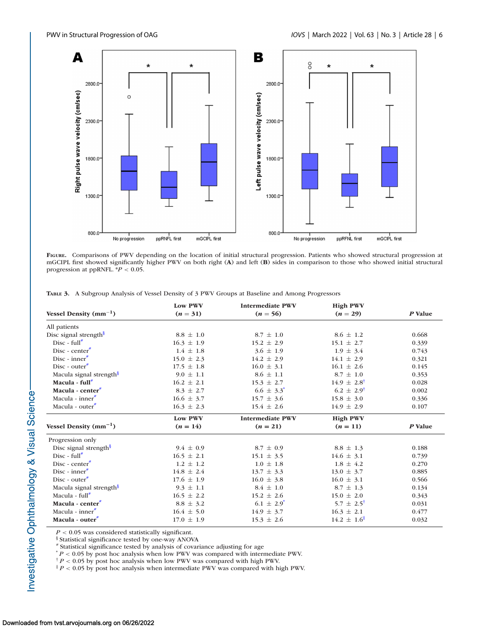<span id="page-5-0"></span>

**FIGURE.** Comparisons of PWV depending on the location of initial structural progression. Patients who showed structural progression at mGCIPL first showed significantly higher PWV on both right (**A**) and left (**B**) sides in comparison to those who showed initial structural progression at ppRNFL. \**P* < 0.05.

**TABLE 3.** A Subgroup Analysis of Vessel Density of 3 PWV Groups at Baseline and Among Progressors

| Vessel Density $(mm^{-1})$          | <b>Low PWV</b><br>$(n = 31)$ | <b>Intermediate PWV</b><br>$(n = 56)$ | <b>High PWV</b><br>$(n = 29)$ | P Value |
|-------------------------------------|------------------------------|---------------------------------------|-------------------------------|---------|
|                                     |                              |                                       |                               |         |
| All patients                        |                              |                                       |                               |         |
| Disc signal strength <sup>§</sup>   | $8.8 \pm 1.0$                | $8.7 \pm 1.0$                         | $8.6 \pm 1.2$                 | 0.668   |
| $Disc - full^*$                     | $16.3 \pm 1.9$               | $15.2 \pm 2.9$                        | $15.1 \pm 2.7$                | 0.339   |
| $Disc - center^*$                   | $1.4 \pm 1.8$                | $3.6 \pm 1.9$                         | $1.9 \pm 3.4$                 | 0.743   |
| Disc - inner $\bar{r}$              | $15.0 \pm 2.3$               | $14.2 \pm 2.9$                        | $14.1 \pm 2.9$                | 0.321   |
| $Disc$ - outer $*$                  | $17.5 \pm 1.8$               | $16.0 \pm 3.1$                        | $16.1 \pm 2.6$                | 0.145   |
| Macula signal strength <sup>§</sup> | $9.0 \pm 1.1$                | $8.6 \pm 1.1$                         | $8.7 \pm 1.0$                 | 0.353   |
| Macula - full <sup>#</sup>          | $16.2 \pm 2.1$               | $15.3 \pm 2.7$                        | $14.9 \pm 2.8^{\dagger}$      | 0.028   |
| Macula - center <sup>#</sup>        | $8.3 \pm 2.7$                | $6.6 \pm 3.3^*$                       | $6.2 \pm 2.9^{\dagger}$       | 0.002   |
| Macula - inner $\overline{a}$       | $16.6 \pm 3.7$               | $15.7 \pm 3.6$                        | $15.8 \pm 3.0$                | 0.336   |
| Macula - outer <sup>#</sup>         | $16.3 \pm 2.3$               | $15.4 \pm 2.6$                        | $14.9 \pm 2.9$                | 0.107   |
|                                     | <b>Low PWV</b>               | <b>Intermediate PWV</b>               | <b>High PWV</b>               |         |
| Vessel Density $(mm^{-1})$          | $(n = 14)$                   | $(n = 21)$                            | $(n = 11)$                    | P Value |
| Progression only                    |                              |                                       |                               |         |
| Disc signal strength $\frac{1}{2}$  | $9.4 \pm 0.9$                | $8.7 \pm 0.9$                         | $8.8 \pm 1.3$                 | 0.188   |
| Disc - $full^*$                     | $16.5 \pm 2.1$               | $15.1 \pm 3.5$                        | $14.6 \pm 3.1$                | 0.739   |
| $Disc - center^*$                   | $1.2 \pm 1.2$                | $1.0 \pm 1.8$                         | $1.8 \pm 4.2$                 | 0.270   |
| Disc - inner $\overline{ }$         | $14.8 \pm 2.4$               | $13.7 \pm 3.3$                        | $13.0 \pm 3.7$                | 0.885   |
| Disc - outer $\overline{f}$         | $17.6 \pm 1.9$               | $16.0 \pm 3.8$                        | $16.0 \pm 3.1$                | 0.566   |
| Macula signal strength <sup>§</sup> | $9.3 \pm 1.1$                | $8.4 \pm 1.0$                         | $8.7 \pm 1.3$                 | 0.134   |
| Macula - $full^*$                   | $16.5 \pm 2.2$               | $15.2 \pm 2.6$                        | $15.0 \pm 2.0$                | 0.343   |
| Macula - center <sup>#</sup>        | $8.8 \pm 3.2$                | $6.1 \pm 2.9^*$                       | $5.7 \pm 2.5^{\dagger}$       | 0.031   |
| Macula - inner $\overline{f}$       | $16.4 \pm 5.0$               | $14.9 \pm 3.7$                        | $16.3 \pm 2.1$                | 0.477   |
| Macula - outer <sup>"</sup>         | $17.0 \pm 1.9$               | $15.3 \pm 2.6$                        | $14.2 \pm 1.6^{\ddagger}$     | 0.032   |

*P* < 0.05 was considered statistically significant.

§ Statistical significance tested by one-way ANOVA

# Statistical significance tested by analysis of covariance adjusting for age

 $^*P < 0.05$  by post hoc analysis when low PWV was compared with intermediate PWV.

† *P* < 0.05 by post hoc analysis when low PWV was compared with high PWV.

<sup>‡</sup> *P* < 0.05 by post hoc analysis when intermediate PWV was compared with high PWV.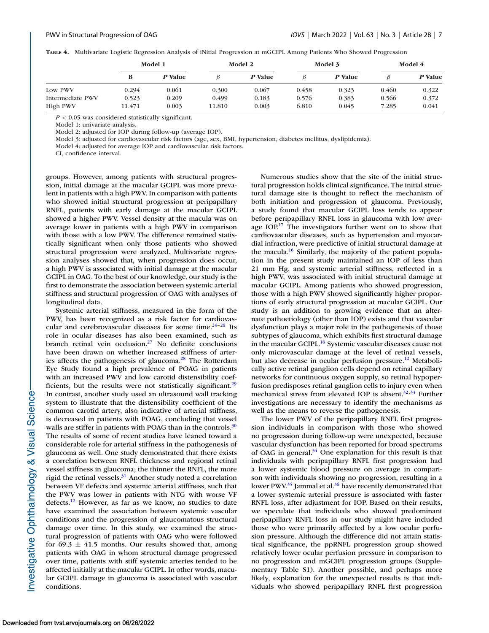<span id="page-6-0"></span>**TABLE 4.** Multivariate Logistic Regression Analysis of iNitial Progression at mGCIPL Among Patients Who Showed Progression

|                  | Model 1 |         | Model 2 |         | Model 3 |         | Model 4 |         |
|------------------|---------|---------|---------|---------|---------|---------|---------|---------|
|                  | в       | P Value |         | P Value |         | P Value |         | P Value |
| Low PWV          | 0.294   | 0.061   | 0.300   | 0.067   | 0.458   | 0.323   | 0.460   | 0.322   |
| Intermediate PWV | 0.523   | 0.209   | 0.499   | 0.183   | 0.576   | 0.383   | 0.566   | 0.372   |
| High PWV         | 11.471  | 0.003   | 11.810  | 0.003   | 6.810   | 0.045   | 7.285   | 0.041   |

*P* < 0.05 was considered statistically significant.

Model 1: univariate analysis.

Model 2: adjusted for IOP during follow-up (average IOP).

Model 3: adjusted for cardiovascular risk factors (age, sex, BMI, hypertension, diabetes mellitus, dyslipidemia).

Model 4: adjusted for average IOP and cardiovascular risk factors.

CI, confidence interval.

groups. However, among patients with structural progression, initial damage at the macular GCIPL was more prevalent in patients with a high PWV. In comparison with patients who showed initial structural progression at peripapillary RNFL, patients with early damage at the macular GCIPL showed a higher PWV. Vessel density at the macula was on average lower in patients with a high PWV in comparison with those with a low PWV. The difference remained statistically significant when only those patients who showed structural progression were analyzed. Multivariate regression analyses showed that, when progression does occur, a high PWV is associated with initial damage at the macular GCIPL in OAG. To the best of our knowledge, our study is the first to demonstrate the association between systemic arterial stiffness and structural progression of OAG with analyses of longitudinal data.

Systemic arterial stiffness, measured in the form of the PWV, has been recognized as a risk factor for cardiovascular and cerebrovascular diseases for some time. $24-26$  Its role in ocular diseases has also been examined, such as branch retinal vein occlusion[.27](#page-8-0) No definite conclusions have been drawn on whether increased stiffness of arteries affects the pathogenesis of glaucoma.<sup>28</sup> The Rotterdam Eye Study found a high prevalence of POAG in patients with an increased PWV and low carotid distensibility coefficients, but the results were not statistically significant. $29$ In contrast, another study used an ultrasound wall tracking system to illustrate that the distensibility coefficient of the common carotid artery, also indicative of arterial stiffness, is decreased in patients with POAG, concluding that vessel walls are stiffer in patients with POAG than in the controls. $30$ The results of some of recent studies have leaned toward a considerable role for arterial stiffness in the pathogenesis of glaucoma as well. One study demonstrated that there exists a correlation between RNFL thickness and regional retinal vessel stiffness in glaucoma; the thinner the RNFL, the more rigid the retinal vessels. $31$  Another study noted a correlation between VF defects and systemic arterial stiffness, such that the PWV was lower in patients with NTG with worse VF defects[.12](#page-8-0) However, as far as we know, no studies to date have examined the association between systemic vascular conditions and the progression of glaucomatous structural damage over time. In this study, we examined the structural progression of patients with OAG who were followed for  $69.3 \pm 41.5$  months. Our results showed that, among patients with OAG in whom structural damage progressed over time, patients with stiff systemic arteries tended to be affected initially at the macular GCIPL. In other words, macular GCIPL damage in glaucoma is associated with vascular conditions.

Numerous studies show that the site of the initial structural progression holds clinical significance. The initial structural damage site is thought to reflect the mechanism of both initiation and progression of glaucoma. Previously, a study found that macular GCIPL loss tends to appear before peripapillary RNFL loss in glaucoma with low average  $IOP<sup>17</sup>$  The investigators further went on to show that cardiovascular diseases, such as hypertension and myocardial infraction, were predictive of initial structural damage at the macula.<sup>16</sup> Similarly, the majority of the patient population in the present study maintained an IOP of less than 21 mm Hg, and systemic arterial stiffness, reflected in a high PWV, was associated with initial structural damage at macular GCIPL. Among patients who showed progression, those with a high PWV showed significantly higher proportions of early structural progression at macular GCIPL. Our study is an addition to growing evidence that an alternate pathoetiology (other than IOP) exists and that vascular dysfunction plays a major role in the pathogenesis of those subtypes of glaucoma, which exhibits first structural damage in the macular GCIPL.<sup>16</sup> Systemic vascular diseases cause not only microvascular damage at the level of retinal vessels, but also decrease in ocular perfusion pressure.<sup>12</sup> Metabolically active retinal ganglion cells depend on retinal capillary networks for continuous oxygen supply, so retinal hypoperfusion predisposes retinal ganglion cells to injury even when mechanical stress from elevated IOP is absent.<sup>32,[33](#page-9-0)</sup> Further investigations are necessary to identify the mechanisms as well as the means to reverse the pathogenesis.

The lower PWV of the peripapillary RNFL first progression individuals in comparison with those who showed no progression during follow-up were unexpected, because vascular dysfunction has been reported for broad spectrums of OAG in general. $34$  One explanation for this result is that individuals with peripapillary RNFL first progression had a lower systemic blood pressure on average in comparison with individuals showing no progression, resulting in a lower PWV.<sup>35</sup> Jammal et al.<sup>36</sup> have recently demonstrated that a lower systemic arterial pressure is associated with faster RNFL loss, after adjustment for IOP. Based on their results, we speculate that individuals who showed predominant peripapillary RNFL loss in our study might have included those who were primarily affected by a low ocular perfusion pressure. Although the difference did not attain statistical significance, the ppRNFL progression group showed relatively lower ocular perfusion pressure in comparison to no progression and mGCIPL progression groups (Supplementary Table S1). Another possible, and perhaps more likely, explanation for the unexpected results is that individuals who showed peripapillary RNFL first progression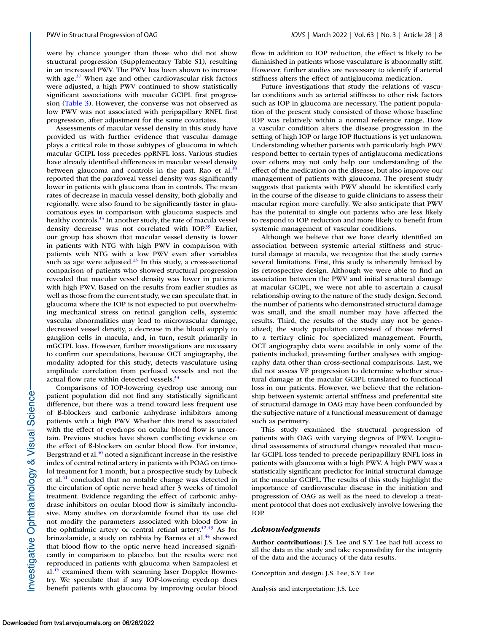were by chance younger than those who did not show structural progression (Supplementary Table S1), resulting in an increased PWV. The PWV has been shown to increase with age. $37$  When age and other cardiovascular risk factors were adjusted, a high PWV continued to show statistically significant associations with macular GCIPL first progression [\(Table 3\)](#page-5-0). However, the converse was not observed as low PWV was not associated with peripapillary RNFL first progression, after adjustment for the same covariates.

Assessments of macular vessel density in this study have provided us with further evidence that vascular damage plays a critical role in those subtypes of glaucoma in which macular GCIPL loss precedes ppRNFL loss. Various studies have already identified differences in macular vessel density between glaucoma and controls in the past. Rao et al. $38$ reported that the parafoveal vessel density was significantly lower in patients with glaucoma than in controls. The mean rates of decrease in macula vessel density, both globally and regionally, were also found to be significantly faster in glaucomatous eyes in comparison with glaucoma suspects and healthy controls.<sup>33</sup> In another study, the rate of macula vessel density decrease was not correlated with IOP.<sup>39</sup> Earlier, our group has shown that macular vessel density is lower in patients with NTG with high PWV in comparison with patients with NTG with a low PWV even after variables such as age were adjusted. $13$  In this study, a cross-sectional comparison of patients who showed structural progression revealed that macular vessel density was lower in patients with high PWV. Based on the results from earlier studies as well as those from the current study, we can speculate that, in glaucoma where the IOP is not expected to put overwhelming mechanical stress on retinal ganglion cells, systemic vascular abnormalities may lead to microvascular damage, decreased vessel density, a decrease in the blood supply to ganglion cells in macula, and, in turn, result primarily in mGCIPL loss. However, further investigations are necessary to confirm our speculations, because OCT angiography, the modality adopted for this study, detects vasculature using amplitude correlation from perfused vessels and not the actual flow rate within detected vessels.<sup>33</sup>

Comparisons of IOP-lowering eyedrop use among our patient population did not find any statistically significant difference, but there was a trend toward less frequent use of ß-blockers and carbonic anhydrase inhibitors among patients with a high PWV. Whether this trend is associated with the effect of eyedrops on ocular blood flow is uncertain. Previous studies have shown conflicting evidence on the effect of ß-blockers on ocular blood flow. For instance, Bergstrand et al.<sup>40</sup> noted a significant increase in the resistive index of central retinal artery in patients with POAG on timolol treatment for 1 month, but a prospective study by Lubeck et al.<sup>41</sup> concluded that no notable change was detected in the circulation of optic nerve head after 3 weeks of timolol treatment. Evidence regarding the effect of carbonic anhydrase inhibitors on ocular blood flow is similarly inconclusive. Many studies on dorzolamide found that its use did not modify the parameters associated with blood flow in the ophthalmic artery or central retinal artery. $42,43$  As for brinzolamide, a study on rabbits by Barnes et al.<sup>44</sup> showed that blood flow to the optic nerve head increased significantly in comparison to placebo, but the results were not reproduced in patients with glaucoma when Sampaolesi et al. $45$  examined them with scanning laser Doppler flowmetry. We speculate that if any IOP-lowering eyedrop does benefit patients with glaucoma by improving ocular blood

flow in addition to IOP reduction, the effect is likely to be diminished in patients whose vasculature is abnormally stiff. However, further studies are necessary to identify if arterial stiffness alters the effect of antiglaucoma medication.

Future investigations that study the relations of vascular conditions such as arterial stiffness to other risk factors such as IOP in glaucoma are necessary. The patient population of the present study consisted of those whose baseline IOP was relatively within a normal reference range. How a vascular condition alters the disease progression in the setting of high IOP or large IOP fluctuations is yet unknown. Understanding whether patients with particularly high PWV respond better to certain types of antiglaucoma medications over others may not only help our understanding of the effect of the medication on the disease, but also improve our management of patients with glaucoma. The present study suggests that patients with PWV should be identified early in the course of the disease to guide clinicians to assess their macular region more carefully. We also anticipate that PWV has the potential to single out patients who are less likely to respond to IOP reduction and more likely to benefit from systemic management of vascular conditions.

Although we believe that we have clearly identified an association between systemic arterial stiffness and structural damage at macula, we recognize that the study carries several limitations. First, this study is inherently limited by its retrospective design. Although we were able to find an association between the PWV and initial structural damage at macular GCIPL, we were not able to ascertain a causal relationship owing to the nature of the study design. Second, the number of patients who demonstrated structural damage was small, and the small number may have affected the results. Third, the results of the study may not be generalized; the study population consisted of those referred to a tertiary clinic for specialized management. Fourth, OCT angiography data were available in only some of the patients included, preventing further analyses with angiography data other than cross-sectional comparisons. Last, we did not assess VF progression to determine whether structural damage at the macular GCIPL translated to functional loss in our patients. However, we believe that the relationship between systemic arterial stiffness and preferential site of structural damage in OAG may have been confounded by the subjective nature of a functional measurement of damage such as perimetry.

This study examined the structural progression of patients with OAG with varying degrees of PWV. Longitudinal assessments of structural changes revealed that macular GCIPL loss tended to precede peripapillary RNFL loss in patients with glaucoma with a high PWV. A high PWV was a statistically significant predictor for initial structural damage at the macular GCIPL. The results of this study highlight the importance of cardiovascular disease in the initiation and progression of OAG as well as the need to develop a treatment protocol that does not exclusively involve lowering the IOP.

#### *Acknowledgments*

**Author contributions:** J.S. Lee and S.Y. Lee had full access to all the data in the study and take responsibility for the integrity of the data and the accuracy of the data results.

Conception and design: J.S. Lee, S.Y. Lee

Analysis and interpretation: J.S. Lee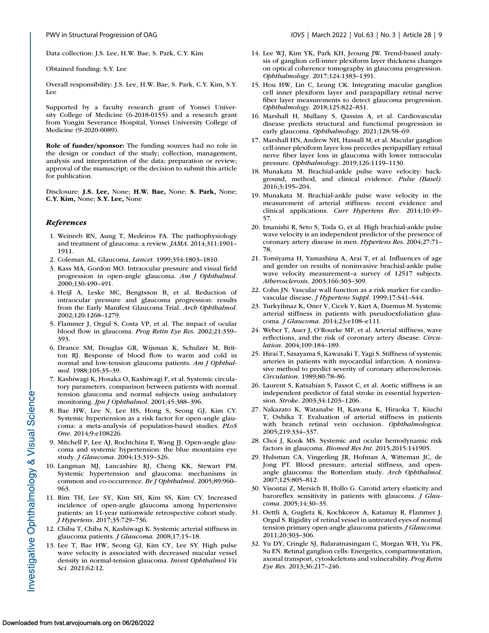<span id="page-8-0"></span>

Data collection: J.S. Lee, H.W. Bae, S. Park, C.Y. Kim

Obtained funding: S.Y. Lee

Overall responsibility: J.S. Lee, H.W. Bae, S. Park, C.Y. Kim, S.Y. Lee

Supported by a faculty research grant of Yonsei University College of Medicine (6-2018-0155) and a research grant from Yongin Severance Hospital, Yonsei University College of Medicine (9-2020-0089).

**Role of funder/sponsor:** The funding sources had no role in the design or conduct of the study; collection, management, analysis and interpretation of the data; preparation or review; approval of the manuscript; or the decision to submit this article for publication.

Disclosure: **J.S. Lee,** None; **H.W. Bae,** None; **S. Park,** None; **C.Y. Kim,** None; **S.Y. Lee,** None

#### *References*

- 1. Weinreb RN, Aung T, Medeiros FA. The pathophysiology and treatment of glaucoma: a review. *JAMA*. 2014;311:1901– 1911.
- 2. Coleman AL. Glaucoma. *Lancet*. 1999;354:1803–1810.
- 3. Kass MA, Gordon MO. Intraocular pressure and visual field progression in open-angle glaucoma. *Am J Ophthalmol*. 2000;130:490–491.
- 4. Heijl A, Leske MC, Bengtsson B, et al. Reduction of intraocular pressure and glaucoma progression: results from the Early Manifest Glaucoma Trial. *Arch Ophthalmol*. 2002;120:1268–1279.
- 5. Flammer J, Orgul S, Costa VP, et al. The impact of ocular blood flow in glaucoma. *Prog Retin Eye Res*. 2002;21:359– 393.
- 6. Drance SM, Douglas GR, Wijsman K, Schulzer M, Britton RJ. Response of blood flow to warm and cold in normal and low-tension glaucoma patients. *Am J Ophthalmol*. 1988;105:35–39.
- 7. Kashiwagi K, Hosaka O, Kashiwagi F, et al. Systemic circulatory parameters. comparison between patients with normal tension glaucoma and normal subjects using ambulatory monitoring. *Jpn J Ophthalmol*. 2001;45:388–396.
- 8. Bae HW, Lee N, Lee HS, Hong S, Seong GJ, Kim CY. Systemic hypertension as a risk factor for open-angle glaucoma: a meta-analysis of population-based studies. *PLoS One*. 2014;9:e108226.
- 9. Mitchell P, Lee AJ, Rochtchina E, Wang JJ. Open-angle glaucoma and systemic hypertension: the blue mountains eye study. *J Glaucoma*. 2004;13:319–326.
- 10. Langman MJ, Lancashire RJ, Cheng KK, Stewart PM. Systemic hypertension and glaucoma: mechanisms in common and co-occurrence. *Br J Ophthalmol*. 2005;89:960– 963.
- 11. Rim TH, Lee SY, Kim SH, Kim SS, Kim CY. Increased incidence of open-angle glaucoma among hypertensive patients: an 11-year nationwide retrospective cohort study. *J Hypertens*. 2017;35:729–736.
- 12. Chiba T, Chiba N, Kashiwagi K. Systemic arterial stiffness in glaucoma patients. *J Glaucoma*. 2008;17:15–18.
- 13. Lee T, Bae HW, Seong GJ, Kim CY, Lee SY. High pulse wave velocity is associated with decreased macular vessel density in normal-tension glaucoma. *Invest Ophthalmol Vis Sci*. 2021;62:12.
- 14. Lee WJ, Kim YK, Park KH, Jeoung JW. Trend-based analysis of ganglion cell-inner plexiform layer thickness changes on optical coherence tomography in glaucoma progression. *Ophthalmology*. 2017;124:1383–1391.
- 15. Hou HW, Lin C, Leung CK. Integrating macular ganglion cell inner plexiform layer and parapapillary retinal nerve fiber layer measurements to detect glaucoma progression. *Ophthalmology*. 2018;125:822–831.
- 16. Marshall H, Mullany S, Qassim A, et al. Cardiovascular disease predicts structural and functional progression in early glaucoma. *Ophthalmology*. 2021;128:58–69.
- 17. Marshall HN, Andrew NH, Hassall M, et al. Macular ganglion cell-inner plexiform layer loss precedes peripapillary retinal nerve fiber layer loss in glaucoma with lower intraocular pressure. *Ophthalmology*. 2019;126:1119–1130.
- 18. Munakata M. Brachial-ankle pulse wave velocity: background, method, and clinical evidence. *Pulse (Basel)*. 2016;3:195–204.
- 19. Munakata M. Brachial-ankle pulse wave velocity in the measurement of arterial stiffness: recent evidence and clinical applications. *Curr Hypertens Rev*. 2014;10:49– 57.
- 20. Imanishi R, Seto S, Toda G, et al. High brachial-ankle pulse wave velocity is an independent predictor of the presence of coronary artery disease in men. *Hypertens Res*. 2004;27:71– 78.
- 21. Tomiyama H, Yamashina A, Arai T, et al. Influences of age and gender on results of noninvasive brachial-ankle pulse wave velocity measurement–a survey of 12517 subjects. *Atherosclerosis*. 2003;166:303–309.
- 22. Cohn JN. Vascular wall function as a risk marker for cardiovascular disease. *J Hypertens Suppl*. 1999;17:S41–S44.
- 23. Turkyilmaz K, Oner V, Cicek Y, Kurt A, Durmus M. Systemic arterial stiffness in patients with pseudoexfoliation glaucoma. *J Glaucoma*. 2014;23:e108–e111.
- 24. Weber T, Auer J, O'Rourke MF, et al. Arterial stiffness, wave reflections, and the risk of coronary artery disease. *Circulation*. 2004;109:184–189.
- 25. Hirai T, Sasayama S, Kawasaki T, Yagi S. Stiffness of systemic arteries in patients with myocardial infarction. A noninvasive method to predict severity of coronary atherosclerosis. *Circulation*. 1989;80:78–86.
- 26. Laurent S, Katsahian S, Fassot C, et al. Aortic stiffness is an independent predictor of fatal stroke in essential hypertension. *Stroke*. 2003;34:1203–1206.
- 27. Nakazato K, Watanabe H, Kawana K, Hiraoka T, Kiuchi T, Oshika T. Evaluation of arterial stiffness in patients with branch retinal vein occlusion. *Ophthalmologica*. 2005;219:334–337.
- 28. Choi J, Kook MS. Systemic and ocular hemodynamic risk factors in glaucoma. *Biomed Res Int*. 2015;2015:141905.
- 29. Hulsman CA, Vingerling JR, Hofman A, Witteman JC, de Jong PT. Blood pressure, arterial stiffness, and openangle glaucoma: the Rotterdam study. *Arch Ophthalmol*. 2007;125:805–812.
- 30. Visontai Z, Mersich B, Hollo G. Carotid artery elasticity and baroreflex sensitivity in patients with glaucoma. *J Glaucoma*. 2005;14:30–35.
- 31. Oettli A, Gugleta K, Kochkorov A, Katamay R, Flammer J, Orgul S. Rigidity of retinal vessel in untreated eyes of normal tension primary open-angle glaucoma patients. *J Glaucoma*. 2011;20:303–306.
- 32. Yu DY, Cringle SJ, Balaratnasingam C, Morgan WH, Yu PK, Su EN. Retinal ganglion cells: Energetics, compartmentation, axonal transport, cytoskeletons and vulnerability. *Prog Retin Eye Res*. 2013;36:217–246.